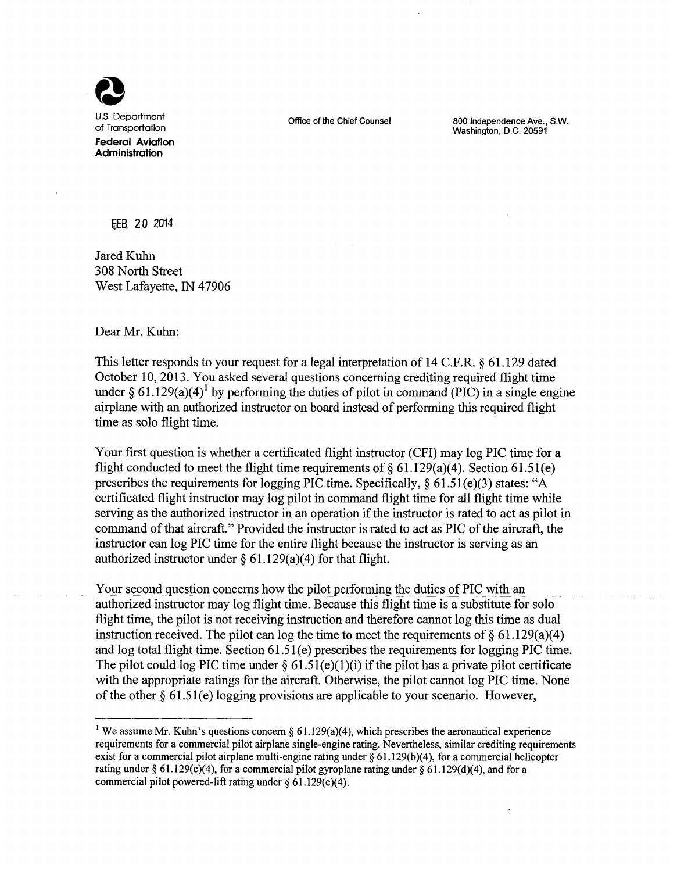

Office of the Chief Counsel 800 Independence Ave., S.W. Washington, D.C. 20591

~E.B **20** *2014*

Jared Kuhn 308 North Street West Lafayette, IN 47906

Dear Mr. Kuhn:

This letter responds to your request for a legal interpretation of 14 C.F.R. § 61.129 dated October 10, 2013. You asked several questions concerning crediting required flight time under § 61.129(a)(4)<sup>1</sup> by performing the duties of pilot in command (PIC) in a single engine airplane with an authorized instructor on board instead of performing this required flight time as solo flight time.

Your first question is whether a certificated flight instructor (CFI) may log PIC time for a flight conducted to meet the flight time requirements of  $\delta$  61.129(a)(4). Section 61.51(e) prescribes the requirements for logging PIC time. Specifically, § 61.51(e)(3) states: "A certificated flight instructor may log pilot in command flight time for all flight time while serving as the authorized instructor in an operation if the instructor is rated to act as pilot in command of that aircraft." Provided the instructor is rated to act as PIC of the aircraft, the instructor can log PIC time for the entire flight because the instructor is serving as an authorized instructor under  $\S$  61.129(a)(4) for that flight.

Your second question concerns how the pilot performing the duties of PIC with an authorized instructor may log flight time. Because this flight time is a substitute for solo flight time, the pilot is not receiving instruction and therefore cannot log this time as dual instruction received. The pilot can log the time to meet the requirements of  $\delta$  61.129(a)(4) and log total flight time. Section 61.51 (e) prescribes the requirements for logging PIC time. The pilot could log PIC time under  $\S 61.51(e)(1)(i)$  if the pilot has a private pilot certificate with the appropriate ratings for the aircraft. Otherwise, the pilot cannot log PIC time. None of the other § 61.51(e) logging provisions are applicable to your scenario. However,

<sup>&</sup>lt;sup>1</sup> We assume Mr. Kuhn's questions concern § 61.129(a)(4), which prescribes the aeronautical experience requirements for a commercial pilot airplane single-engine rating. Nevertheless, similar crediting requirements exist for a commercial pilot airplane multi-engine rating under  $\S 61.129(b)(4)$ , for a commercial helicopter rating under § 61.129(c)(4), for a commercial pilot gyroplane rating under § 61.129(d)(4), and for a commercial pilot powered-lift rating under  $\S 61.129(e)(4)$ .